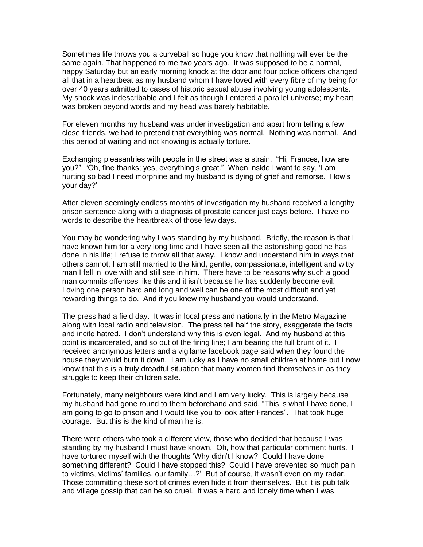Sometimes life throws you a curveball so huge you know that nothing will ever be the same again. That happened to me two years ago. It was supposed to be a normal, happy Saturday but an early morning knock at the door and four police officers changed all that in a heartbeat as my husband whom I have loved with every fibre of my being for over 40 years admitted to cases of historic sexual abuse involving young adolescents. My shock was indescribable and I felt as though I entered a parallel universe; my heart was broken beyond words and my head was barely habitable.

For eleven months my husband was under investigation and apart from telling a few close friends, we had to pretend that everything was normal. Nothing was normal. And this period of waiting and not knowing is actually torture.

Exchanging pleasantries with people in the street was a strain. "Hi, Frances, how are you?" "Oh, fine thanks; yes, everything's great." When inside I want to say, 'I am hurting so bad I need morphine and my husband is dying of grief and remorse. How's your day?'

After eleven seemingly endless months of investigation my husband received a lengthy prison sentence along with a diagnosis of prostate cancer just days before. I have no words to describe the heartbreak of those few days.

You may be wondering why I was standing by my husband. Briefly, the reason is that I have known him for a very long time and I have seen all the astonishing good he has done in his life; I refuse to throw all that away. I know and understand him in ways that others cannot; I am still married to the kind, gentle, compassionate, intelligent and witty man I fell in love with and still see in him. There have to be reasons why such a good man commits offences like this and it isn't because he has suddenly become evil. Loving one person hard and long and well can be one of the most difficult and yet rewarding things to do. And if you knew my husband you would understand.

The press had a field day. It was in local press and nationally in the Metro Magazine along with local radio and television. The press tell half the story, exaggerate the facts and incite hatred. I don't understand why this is even legal. And my husband at this point is incarcerated, and so out of the firing line; I am bearing the full brunt of it. I received anonymous letters and a vigilante facebook page said when they found the house they would burn it down. I am lucky as I have no small children at home but I now know that this is a truly dreadful situation that many women find themselves in as they struggle to keep their children safe.

Fortunately, many neighbours were kind and I am very lucky. This is largely because my husband had gone round to them beforehand and said, "This is what I have done, I am going to go to prison and I would like you to look after Frances". That took huge courage. But this is the kind of man he is.

There were others who took a different view, those who decided that because I was standing by my husband I must have known. Oh, how that particular comment hurts. I have tortured myself with the thoughts 'Why didn't I know? Could I have done something different? Could I have stopped this? Could I have prevented so much pain to victims, victims' families, our family…?' But of course, it wasn't even on my radar. Those committing these sort of crimes even hide it from themselves. But it is pub talk and village gossip that can be so cruel. It was a hard and lonely time when I was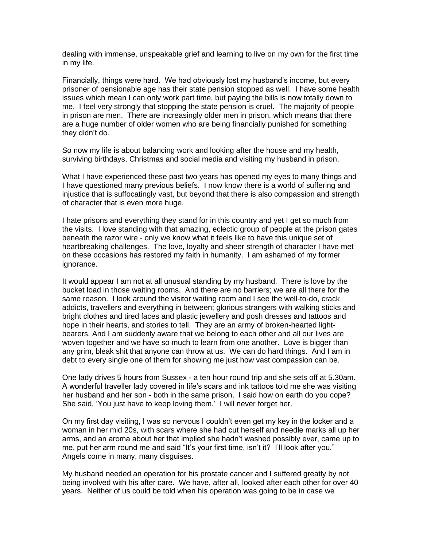dealing with immense, unspeakable grief and learning to live on my own for the first time in my life.

Financially, things were hard. We had obviously lost my husband's income, but every prisoner of pensionable age has their state pension stopped as well. I have some health issues which mean I can only work part time, but paying the bills is now totally down to me. I feel very strongly that stopping the state pension is cruel. The majority of people in prison are men. There are increasingly older men in prison, which means that there are a huge number of older women who are being financially punished for something they didn't do.

So now my life is about balancing work and looking after the house and my health, surviving birthdays, Christmas and social media and visiting my husband in prison.

What I have experienced these past two years has opened my eyes to many things and I have questioned many previous beliefs. I now know there is a world of suffering and injustice that is suffocatingly vast, but beyond that there is also compassion and strength of character that is even more huge.

I hate prisons and everything they stand for in this country and yet I get so much from the visits. I love standing with that amazing, eclectic group of people at the prison gates beneath the razor wire - only we know what it feels like to have this unique set of heartbreaking challenges. The love, loyalty and sheer strength of character I have met on these occasions has restored my faith in humanity. I am ashamed of my former ignorance.

It would appear I am not at all unusual standing by my husband. There is love by the bucket load in those waiting rooms. And there are no barriers; we are all there for the same reason. I look around the visitor waiting room and I see the well-to-do, crack addicts, travellers and everything in between; glorious strangers with walking sticks and bright clothes and tired faces and plastic jewellery and posh dresses and tattoos and hope in their hearts, and stories to tell. They are an army of broken-hearted lightbearers. And I am suddenly aware that we belong to each other and all our lives are woven together and we have so much to learn from one another. Love is bigger than any grim, bleak shit that anyone can throw at us. We can do hard things. And I am in debt to every single one of them for showing me just how vast compassion can be.

One lady drives 5 hours from Sussex - a ten hour round trip and she sets off at 5.30am. A wonderful traveller lady covered in life's scars and ink tattoos told me she was visiting her husband and her son - both in the same prison. I said how on earth do you cope? She said, 'You just have to keep loving them.' I will never forget her.

On my first day visiting, I was so nervous I couldn't even get my key in the locker and a woman in her mid 20s, with scars where she had cut herself and needle marks all up her arms, and an aroma about her that implied she hadn't washed possibly ever, came up to me, put her arm round me and said "It's your first time, isn't it? I'll look after you." Angels come in many, many disguises.

My husband needed an operation for his prostate cancer and I suffered greatly by not being involved with his after care. We have, after all, looked after each other for over 40 years. Neither of us could be told when his operation was going to be in case we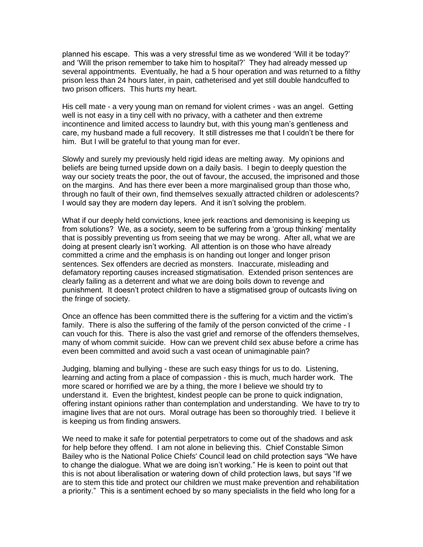planned his escape. This was a very stressful time as we wondered 'Will it be today?' and 'Will the prison remember to take him to hospital?' They had already messed up several appointments. Eventually, he had a 5 hour operation and was returned to a filthy prison less than 24 hours later, in pain, catheterised and yet still double handcuffed to two prison officers. This hurts my heart.

His cell mate - a very young man on remand for violent crimes - was an angel. Getting well is not easy in a tiny cell with no privacy, with a catheter and then extreme incontinence and limited access to laundry but, with this young man's gentleness and care, my husband made a full recovery. It still distresses me that I couldn't be there for him. But I will be grateful to that young man for ever.

Slowly and surely my previously held rigid ideas are melting away. My opinions and beliefs are being turned upside down on a daily basis. I begin to deeply question the way our society treats the poor, the out of favour, the accused, the imprisoned and those on the margins. And has there ever been a more marginalised group than those who, through no fault of their own, find themselves sexually attracted children or adolescents? I would say they are modern day lepers. And it isn't solving the problem.

What if our deeply held convictions, knee jerk reactions and demonising is keeping us from solutions? We, as a society, seem to be suffering from a 'group thinking' mentality that is possibly preventing us from seeing that we may be wrong. After all, what we are doing at present clearly isn't working. All attention is on those who have already committed a crime and the emphasis is on handing out longer and longer prison sentences. Sex offenders are decried as monsters. Inaccurate, misleading and defamatory reporting causes increased stigmatisation. Extended prison sentences are clearly failing as a deterrent and what we are doing boils down to revenge and punishment. It doesn't protect children to have a stigmatised group of outcasts living on the fringe of society.

Once an offence has been committed there is the suffering for a victim and the victim's family. There is also the suffering of the family of the person convicted of the crime - I can vouch for this. There is also the vast grief and remorse of the offenders themselves, many of whom commit suicide. How can we prevent child sex abuse before a crime has even been committed and avoid such a vast ocean of unimaginable pain?

Judging, blaming and bullying - these are such easy things for us to do. Listening, learning and acting from a place of compassion - this is much, much harder work. The more scared or horrified we are by a thing, the more I believe we should try to understand it. Even the brightest, kindest people can be prone to quick indignation, offering instant opinions rather than contemplation and understanding. We have to try to imagine lives that are not ours. Moral outrage has been so thoroughly tried. I believe it is keeping us from finding answers.

We need to make it safe for potential perpetrators to come out of the shadows and ask for help before they offend. I am not alone in believing this. Chief Constable Simon Bailey who is the National Police Chiefs' Council lead on child protection says "We have to change the dialogue. What we are doing isn't working." He is keen to point out that this is not about liberalisation or watering down of child protection laws, but says "If we are to stem this tide and protect our children we must make prevention and rehabilitation a priority." This is a sentiment echoed by so many specialists in the field who long for a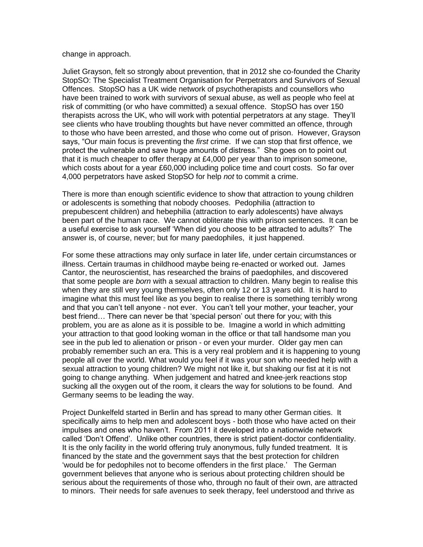## change in approach.

Juliet Grayson, felt so strongly about prevention, that in 2012 she co-founded the Charity StopSO: The Specialist Treatment Organisation for Perpetrators and Survivors of Sexual Offences. StopSO has a UK wide network of psychotherapists and counsellors who have been trained to work with survivors of sexual abuse, as well as people who feel at risk of committing (or who have committed) a sexual offence. StopSO has over 150 therapists across the UK, who will work with potential perpetrators at any stage. They'll see clients who have troubling thoughts but have never committed an offence, through to those who have been arrested, and those who come out of prison. However, Grayson says, "Our main focus is preventing the *first* crime. If we can stop that first offence, we protect the vulnerable and save huge amounts of distress." She goes on to point out that it is much cheaper to offer therapy at  $£4,000$  per year than to imprison someone, which costs about for a year £60,000 including police time and court costs. So far over 4,000 perpetrators have asked StopSO for help *not* to commit a crime.

There is more than enough scientific evidence to show that attraction to young children or adolescents is something that nobody chooses. Pedophilia (attraction to prepubescent children) and hebephilia (attraction to early adolescents) have always been part of the human race. We cannot obliterate this with prison sentences. It can be a useful exercise to ask yourself 'When did you choose to be attracted to adults?' The answer is, of course, never; but for many paedophiles, it just happened.

For some these attractions may only surface in later life, under certain circumstances or illness. Certain traumas in childhood maybe being re-enacted or worked out. James Cantor, the neuroscientist, has researched the brains of paedophiles, and discovered that some people are *born* with a sexual attraction to children. Many begin to realise this when they are still very young themselves, often only 12 or 13 years old. It is hard to imagine what this must feel like as you begin to realise there is something terribly wrong and that you can't tell anyone - not ever. You can't tell your mother, your teacher, your best friend… There can never be that 'special person' out there for you; with this problem, you are as alone as it is possible to be. Imagine a world in which admitting your attraction to that good looking woman in the office or that tall handsome man you see in the pub led to alienation or prison - or even your murder. Older gay men can probably remember such an era. This is a very real problem and it is happening to young people all over the world. What would you feel if it was your son who needed help with a sexual attraction to young children? We might not like it, but shaking our fist at it is not going to change anything. When judgement and hatred and knee-jerk reactions stop sucking all the oxygen out of the room, it clears the way for solutions to be found. And Germany seems to be leading the way.

Project Dunkelfeld started in Berlin and has spread to many other German cities. It specifically aims to help men and adolescent boys - both those who have acted on their impulses and ones who haven't. From 2011 it developed into a nationwide network called 'Don't Offend'. Unlike other countries, there is strict patient-doctor confidentiality. It is the only facility in the world offering truly anonymous, fully funded treatment. It is financed by the state and the government says that the best protection for children 'would be for pedophiles not to become offenders in the first place.' The German government believes that anyone who is serious about protecting children should be serious about the requirements of those who, through no fault of their own, are attracted to minors. Their needs for safe avenues to seek therapy, feel understood and thrive as